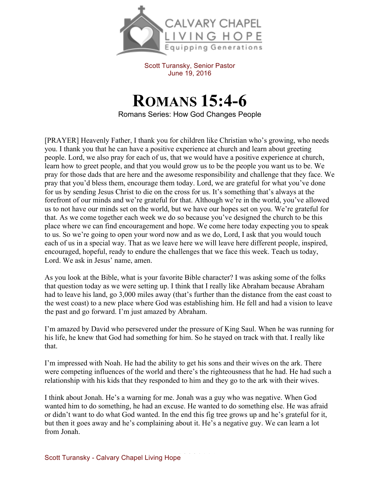

Scott Turansky, Senior Pastor June 19, 2016

**ROMANS 15:4-6** Romans Series: How God Changes People

[PRAYER] Heavenly Father, I thank you for children like Christian who's growing, who needs you. I thank you that he can have a positive experience at church and learn about greeting people. Lord, we also pray for each of us, that we would have a positive experience at church, learn how to greet people, and that you would grow us to be the people you want us to be. We pray for those dads that are here and the awesome responsibility and challenge that they face. We pray that you'd bless them, encourage them today. Lord, we are grateful for what you've done for us by sending Jesus Christ to die on the cross for us. It's something that's always at the forefront of our minds and we're grateful for that. Although we're in the world, you've allowed us to not have our minds set on the world, but we have our hopes set on you. We're grateful for that. As we come together each week we do so because you've designed the church to be this place where we can find encouragement and hope. We come here today expecting you to speak to us. So we're going to open your word now and as we do, Lord, I ask that you would touch each of us in a special way. That as we leave here we will leave here different people, inspired, encouraged, hopeful, ready to endure the challenges that we face this week. Teach us today, Lord. We ask in Jesus' name, amen.

As you look at the Bible, what is your favorite Bible character? I was asking some of the folks that question today as we were setting up. I think that I really like Abraham because Abraham had to leave his land, go 3,000 miles away (that's further than the distance from the east coast to the west coast) to a new place where God was establishing him. He fell and had a vision to leave the past and go forward. I'm just amazed by Abraham.

I'm amazed by David who persevered under the pressure of King Saul. When he was running for his life, he knew that God had something for him. So he stayed on track with that. I really like that.

I'm impressed with Noah. He had the ability to get his sons and their wives on the ark. There were competing influences of the world and there's the righteousness that he had. He had such a relationship with his kids that they responded to him and they go to the ark with their wives.

I think about Jonah. He's a warning for me. Jonah was a guy who was negative. When God wanted him to do something, he had an excuse. He wanted to do something else. He was afraid or didn't want to do what God wanted. In the end this fig tree grows up and he's grateful for it, but then it goes away and he's complaining about it. He's a negative guy. We can learn a lot from Jonah.

Scott Turansky - Calvary Chapel Living Hope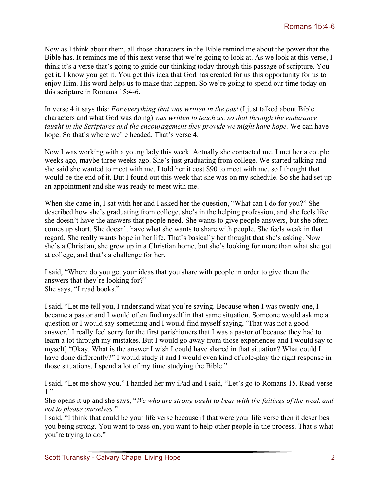Now as I think about them, all those characters in the Bible remind me about the power that the Bible has. It reminds me of this next verse that we're going to look at. As we look at this verse, I think it's a verse that's going to guide our thinking today through this passage of scripture. You get it. I know you get it. You get this idea that God has created for us this opportunity for us to enjoy Him. His word helps us to make that happen. So we're going to spend our time today on this scripture in Romans 15:4-6.

In verse 4 it says this: *For everything that was written in the past* (I just talked about Bible characters and what God was doing) *was written to teach us, so that through the endurance taught in the Scriptures and the encouragement they provide we might have hope.* We can have hope. So that's where we're headed. That's verse 4.

Now I was working with a young lady this week. Actually she contacted me. I met her a couple weeks ago, maybe three weeks ago. She's just graduating from college. We started talking and she said she wanted to meet with me. I told her it cost \$90 to meet with me, so I thought that would be the end of it. But I found out this week that she was on my schedule. So she had set up an appointment and she was ready to meet with me.

When she came in, I sat with her and I asked her the question, "What can I do for you?" She described how she's graduating from college, she's in the helping profession, and she feels like she doesn't have the answers that people need. She wants to give people answers, but she often comes up short. She doesn't have what she wants to share with people. She feels weak in that regard. She really wants hope in her life. That's basically her thought that she's asking. Now she's a Christian, she grew up in a Christian home, but she's looking for more than what she got at college, and that's a challenge for her.

I said, "Where do you get your ideas that you share with people in order to give them the answers that they're looking for?" She says, "I read books."

I said, "Let me tell you, I understand what you're saying. Because when I was twenty-one, I became a pastor and I would often find myself in that same situation. Someone would ask me a question or I would say something and I would find myself saying, 'That was not a good answer.' I really feel sorry for the first parishioners that I was a pastor of because they had to learn a lot through my mistakes. But I would go away from those experiences and I would say to myself, "Okay. What is the answer I wish I could have shared in that situation? What could I have done differently?" I would study it and I would even kind of role-play the right response in those situations. I spend a lot of my time studying the Bible."

I said, "Let me show you." I handed her my iPad and I said, "Let's go to Romans 15. Read verse 1."

She opens it up and she says, "*We who are strong ought to bear with the failings of the weak and not to please ourselves.*"

I said, "I think that could be your life verse because if that were your life verse then it describes you being strong. You want to pass on, you want to help other people in the process. That's what you're trying to do."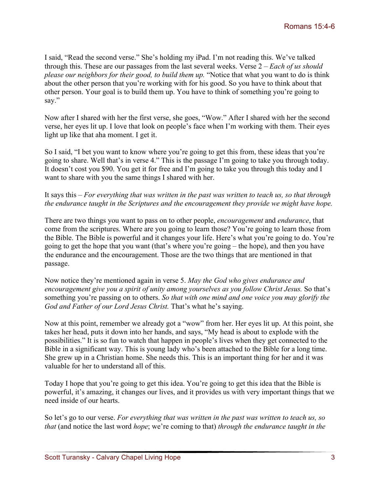I said, "Read the second verse." She's holding my iPad. I'm not reading this. We've talked through this. These are our passages from the last several weeks. Verse 2 – *Each of us should please our neighbors for their good, to build them up.* "Notice that what you want to do is think about the other person that you're working with for his good. So you have to think about that other person. Your goal is to build them up. You have to think of something you're going to say."

Now after I shared with her the first verse, she goes, "Wow." After I shared with her the second verse, her eyes lit up. I love that look on people's face when I'm working with them. Their eyes light up like that aha moment. I get it.

So I said, "I bet you want to know where you're going to get this from, these ideas that you're going to share. Well that's in verse 4." This is the passage I'm going to take you through today. It doesn't cost you \$90. You get it for free and I'm going to take you through this today and I want to share with you the same things I shared with her.

## It says this – *For everything that was written in the past was written to teach us, so that through the endurance taught in the Scriptures and the encouragement they provide we might have hope.*

There are two things you want to pass on to other people, *encouragement* and *endurance*, that come from the scriptures. Where are you going to learn those? You're going to learn those from the Bible. The Bible is powerful and it changes your life. Here's what you're going to do. You're going to get the hope that you want (that's where you're going – the hope), and then you have the endurance and the encouragement. Those are the two things that are mentioned in that passage.

Now notice they're mentioned again in verse 5. *May the God who gives endurance and encouragement give you a spirit of unity among yourselves as you follow Christ Jesus.* So that's something you're passing on to others. *So that with one mind and one voice you may glorify the God and Father of our Lord Jesus Christ.* That's what he's saying.

Now at this point, remember we already got a "wow" from her. Her eyes lit up. At this point, she takes her head, puts it down into her hands, and says, "My head is about to explode with the possibilities." It is so fun to watch that happen in people's lives when they get connected to the Bible in a significant way. This is young lady who's been attached to the Bible for a long time. She grew up in a Christian home. She needs this. This is an important thing for her and it was valuable for her to understand all of this.

Today I hope that you're going to get this idea. You're going to get this idea that the Bible is powerful, it's amazing, it changes our lives, and it provides us with very important things that we need inside of our hearts.

So let's go to our verse. *For everything that was written in the past was written to teach us, so that* (and notice the last word *hope*; we're coming to that) *through the endurance taught in the*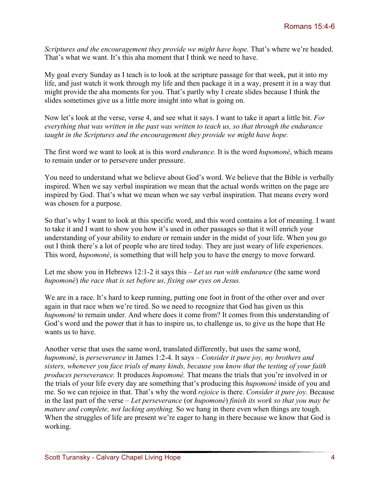*Scriptures and the encouragement they provide we might have hope. That's where we're headed.* That's what we want. It's this aha moment that I think we need to have.

My goal every Sunday as I teach is to look at the scripture passage for that week, put it into my life, and just watch it work through my life and then package it in a way, present it in a way that might provide the aha moments for you. That's partly why I create slides because I think the slides sometimes give us a little more insight into what is going on.

Now let's look at the verse, verse 4, and see what it says. I want to take it apart a little bit. *For everything that was written in the past was written to teach us, so that through the endurance taught in the Scriptures and the encouragement they provide we might have hope.* 

The first word we want to look at is this word *endurance.* It is the word *hupomoné*, which means to remain under or to persevere under pressure.

You need to understand what we believe about God's word. We believe that the Bible is verbally inspired. When we say verbal inspiration we mean that the actual words written on the page are inspired by God. That's what we mean when we say verbal inspiration. That means every word was chosen for a purpose.

So that's why I want to look at this specific word, and this word contains a lot of meaning. I want to take it and I want to show you how it's used in other passages so that it will enrich your understanding of your ability to endure or remain under in the midst of your life. When you go out I think there's a lot of people who are tired today. They are just weary of life experiences. This word, *hupomoné*, is something that will help you to have the energy to move forward.

Let me show you in Hebrews 12:1-2 it says this – *Let us run with endurance* (the same word *hupomoné*) *the race that is set before us, fixing our eyes on Jesus.* 

We are in a race. It's hard to keep running, putting one foot in front of the other over and over again in that race when we're tired. So we need to recognize that God has given us this *hupomoné* to remain under. And where does it come from? It comes from this understanding of God's word and the power that it has to inspire us, to challenge us, to give us the hope that He wants us to have.

Another verse that uses the same word, translated differently, but uses the same word, *hupomoné*, is *perseverance* in James 1:2-4. It says – *Consider it pure joy, my brothers and sisters, whenever you face trials of many kinds, because you know that the testing of your faith produces perseverance.* It produces *hupomoné.* That means the trials that you're involved in or the trials of your life every day are something that's producing this *hupomoné* inside of you and me. So we can rejoice in that. That's why the word *rejoice* is there. *Consider it pure joy*. Because in the last part of the verse – *Let perseverance* (or *hupomoné*) *finish its work so that you may be mature and complete, not lacking anything.* So we hang in there even when things are tough. When the struggles of life are present we're eager to hang in there because we know that God is working.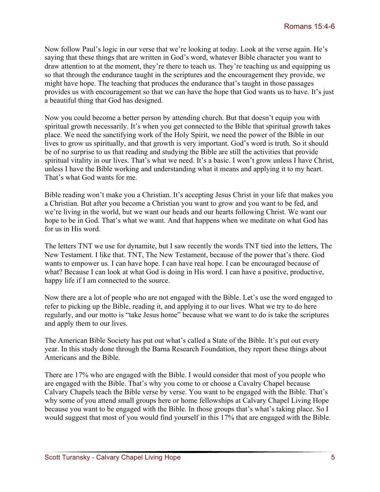Now follow Paul's logic in our verse that we're looking at today. Look at the verse again. He's saying that these things that are written in God's word, whatever Bible character you want to draw attention to at the moment, they're there to teach us. They're teaching us and equipping us so that through the endurance taught in the scriptures and the encouragement they provide, we might have hope. The teaching that produces the endurance that's taught in those passages provides us with encouragement so that we can have the hope that God wants us to have. It's just a beautiful thing that God has designed.

Now you could become a better person by attending church. But that doesn't equip you with spiritual growth necessarily. It's when you get connected to the Bible that spiritual growth takes place. We need the sanctifying work of the Holy Spirit, we need the power of the Bible in our lives to grow us spiritually, and that growth is very important. God's word is truth. So it should be of no surprise to us that reading and studying the Bible are still the activities that provide spiritual vitality in our lives. That's what we need. It's a basic. I won't grow unless I have Christ, unless I have the Bible working and understanding what it means and applying it to my heart. That's what God wants for me.

Bible reading won't make you a Christian. It's accepting Jesus Christ in your life that makes you a Christian. But after you become a Christian you want to grow and you want to be fed, and we're living in the world, but we want our heads and our hearts following Christ. We want our hope to be in God. That's what we want. And that happens when we meditate on what God has for us in His word.

The letters TNT we use for dynamite, but I saw recently the words TNT tied into the letters, The New Testament. I like that. TNT, The New Testament, because of the power that's there. God wants to empower us. I can have hope. I can have real hope. I can be encouraged because of what? Because I can look at what God is doing in His word. I can have a positive, productive, happy life if I am connected to the source.

Now there are a lot of people who are not engaged with the Bible. Let's use the word engaged to refer to picking up the Bible, reading it, and applying it to our lives. What we try to do here regularly, and our motto is "take Jesus home" because what we want to do is take the scriptures and apply them to our lives.

The American Bible Society has put out what's called a State of the Bible. It's put out every year. In this study done through the Barna Research Foundation, they report these things about Americans and the Bible.

There are 17% who are engaged with the Bible. I would consider that most of you people who are engaged with the Bible. That's why you come to or choose a Cavalry Chapel because Calvary Chapels teach the Bible verse by verse. You want to be engaged with the Bible. That's why some of you attend small groups here or home fellowships at Calvary Chapel Living Hope because you want to be engaged with the Bible. In those groups that's what's taking place. So I would suggest that most of you would find yourself in this 17% that are engaged with the Bible.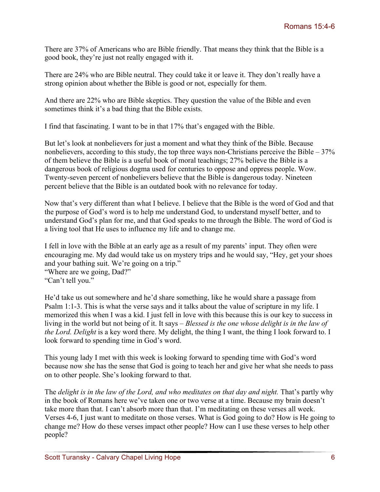There are 37% of Americans who are Bible friendly. That means they think that the Bible is a good book, they're just not really engaged with it.

There are 24% who are Bible neutral. They could take it or leave it. They don't really have a strong opinion about whether the Bible is good or not, especially for them.

And there are 22% who are Bible skeptics. They question the value of the Bible and even sometimes think it's a bad thing that the Bible exists.

I find that fascinating. I want to be in that 17% that's engaged with the Bible.

But let's look at nonbelievers for just a moment and what they think of the Bible. Because nonbelievers, according to this study, the top three ways non-Christians perceive the Bible  $-37\%$ of them believe the Bible is a useful book of moral teachings; 27% believe the Bible is a dangerous book of religious dogma used for centuries to oppose and oppress people. Wow. Twenty-seven percent of nonbelievers believe that the Bible is dangerous today. Nineteen percent believe that the Bible is an outdated book with no relevance for today.

Now that's very different than what I believe. I believe that the Bible is the word of God and that the purpose of God's word is to help me understand God, to understand myself better, and to understand God's plan for me, and that God speaks to me through the Bible. The word of God is a living tool that He uses to influence my life and to change me.

I fell in love with the Bible at an early age as a result of my parents' input. They often were encouraging me. My dad would take us on mystery trips and he would say, "Hey, get your shoes and your bathing suit. We're going on a trip."

"Where are we going, Dad?" "Can't tell you."

He'd take us out somewhere and he'd share something, like he would share a passage from Psalm 1:1-3. This is what the verse says and it talks about the value of scripture in my life. I memorized this when I was a kid. I just fell in love with this because this is our key to success in living in the world but not being of it. It says – *Blessed is the one whose delight is in the law of the Lord. Delight* is a key word there. My delight, the thing I want, the thing I look forward to. I look forward to spending time in God's word.

This young lady I met with this week is looking forward to spending time with God's word because now she has the sense that God is going to teach her and give her what she needs to pass on to other people. She's looking forward to that.

The *delight is in the law of the Lord, and who meditates on that day and night.* That's partly why in the book of Romans here we've taken one or two verse at a time. Because my brain doesn't take more than that. I can't absorb more than that. I'm meditating on these verses all week. Verses 4-6, I just want to meditate on those verses. What is God going to do? How is He going to change me? How do these verses impact other people? How can I use these verses to help other people?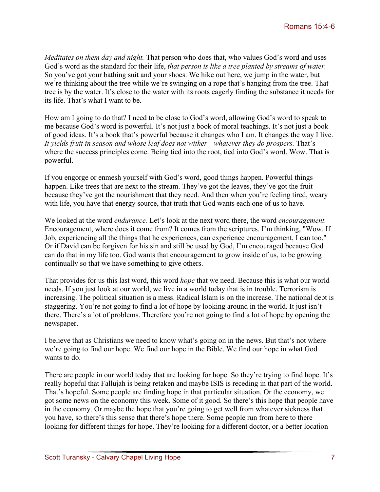*Meditates on them day and night.* That person who does that, who values God's word and uses God's word as the standard for their life, *that person is like a tree planted by streams of water.*  So you've got your bathing suit and your shoes. We hike out here, we jump in the water, but we're thinking about the tree while we're swinging on a rope that's hanging from the tree. That tree is by the water. It's close to the water with its roots eagerly finding the substance it needs for its life. That's what I want to be.

How am I going to do that? I need to be close to God's word, allowing God's word to speak to me because God's word is powerful. It's not just a book of moral teachings. It's not just a book of good ideas. It's a book that's powerful because it changes who I am. It changes the way I live. It yields fruit in season and whose leaf does not wither—whatever they do prospers. That's where the success principles come. Being tied into the root, tied into God's word. Wow. That is powerful.

If you engorge or enmesh yourself with God's word, good things happen. Powerful things happen. Like trees that are next to the stream. They've got the leaves, they've got the fruit because they've got the nourishment that they need. And then when you're feeling tired, weary with life, you have that energy source, that truth that God wants each one of us to have.

We looked at the word *endurance.* Let's look at the next word there, the word *encouragement.*  Encouragement, where does it come from? It comes from the scriptures. I'm thinking, "Wow. If Job, experiencing all the things that he experiences, can experience encouragement, I can too." Or if David can be forgiven for his sin and still be used by God, I'm encouraged because God can do that in my life too. God wants that encouragement to grow inside of us, to be growing continually so that we have something to give others.

That provides for us this last word, this word *hope* that we need. Because this is what our world needs. If you just look at our world, we live in a world today that is in trouble. Terrorism is increasing. The political situation is a mess. Radical Islam is on the increase. The national debt is staggering. You're not going to find a lot of hope by looking around in the world. It just isn't there. There's a lot of problems. Therefore you're not going to find a lot of hope by opening the newspaper.

I believe that as Christians we need to know what's going on in the news. But that's not where we're going to find our hope. We find our hope in the Bible. We find our hope in what God wants to do.

There are people in our world today that are looking for hope. So they're trying to find hope. It's really hopeful that Fallujah is being retaken and maybe ISIS is receding in that part of the world. That's hopeful. Some people are finding hope in that particular situation. Or the economy, we got some news on the economy this week. Some of it good. So there's this hope that people have in the economy. Or maybe the hope that you're going to get well from whatever sickness that you have, so there's this sense that there's hope there. Some people run from here to there looking for different things for hope. They're looking for a different doctor, or a better location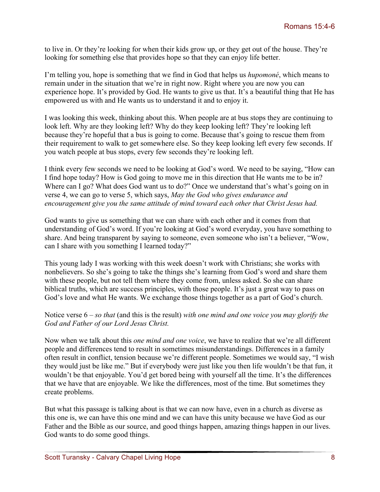to live in. Or they're looking for when their kids grow up, or they get out of the house. They're looking for something else that provides hope so that they can enjoy life better.

I'm telling you, hope is something that we find in God that helps us *hupomoné*, which means to remain under in the situation that we're in right now. Right where you are now you can experience hope. It's provided by God. He wants to give us that. It's a beautiful thing that He has empowered us with and He wants us to understand it and to enjoy it.

I was looking this week, thinking about this. When people are at bus stops they are continuing to look left. Why are they looking left? Why do they keep looking left? They're looking left because they're hopeful that a bus is going to come. Because that's going to rescue them from their requirement to walk to get somewhere else. So they keep looking left every few seconds. If you watch people at bus stops, every few seconds they're looking left.

I think every few seconds we need to be looking at God's word. We need to be saying, "How can I find hope today? How is God going to move me in this direction that He wants me to be in? Where can I go? What does God want us to do?" Once we understand that's what's going on in verse 4, we can go to verse 5, which says, *May the God who gives endurance and encouragement give you the same attitude of mind toward each other that Christ Jesus had.* 

God wants to give us something that we can share with each other and it comes from that understanding of God's word. If you're looking at God's word everyday, you have something to share. And being transparent by saying to someone, even someone who isn't a believer, "Wow, can I share with you something I learned today?"

This young lady I was working with this week doesn't work with Christians; she works with nonbelievers. So she's going to take the things she's learning from God's word and share them with these people, but not tell them where they come from, unless asked. So she can share biblical truths, which are success principles, with those people. It's just a great way to pass on God's love and what He wants. We exchange those things together as a part of God's church.

## Notice verse 6 – *so that* (and this is the result) *with one mind and one voice you may glorify the God and Father of our Lord Jesus Christ.*

Now when we talk about this *one mind and one voice*, we have to realize that we're all different people and differences tend to result in sometimes misunderstandings. Differences in a family often result in conflict, tension because we're different people. Sometimes we would say, "I wish they would just be like me." But if everybody were just like you then life wouldn't be that fun, it wouldn't be that enjoyable. You'd get bored being with yourself all the time. It's the differences that we have that are enjoyable. We like the differences, most of the time. But sometimes they create problems.

But what this passage is talking about is that we can now have, even in a church as diverse as this one is, we can have this one mind and we can have this unity because we have God as our Father and the Bible as our source, and good things happen, amazing things happen in our lives. God wants to do some good things.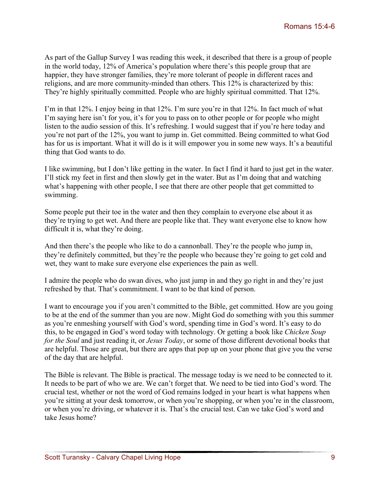As part of the Gallup Survey I was reading this week, it described that there is a group of people in the world today, 12% of America's population where there's this people group that are happier, they have stronger families, they're more tolerant of people in different races and religions, and are more community-minded than others. This 12% is characterized by this: They're highly spiritually committed. People who are highly spiritual committed. That 12%.

I'm in that 12%. I enjoy being in that 12%. I'm sure you're in that 12%. In fact much of what I'm saying here isn't for you, it's for you to pass on to other people or for people who might listen to the audio session of this. It's refreshing. I would suggest that if you're here today and you're not part of the 12%, you want to jump in. Get committed. Being committed to what God has for us is important. What it will do is it will empower you in some new ways. It's a beautiful thing that God wants to do.

I like swimming, but I don't like getting in the water. In fact I find it hard to just get in the water. I'll stick my feet in first and then slowly get in the water. But as I'm doing that and watching what's happening with other people, I see that there are other people that get committed to swimming.

Some people put their toe in the water and then they complain to everyone else about it as they're trying to get wet. And there are people like that. They want everyone else to know how difficult it is, what they're doing.

And then there's the people who like to do a cannonball. They're the people who jump in, they're definitely committed, but they're the people who because they're going to get cold and wet, they want to make sure everyone else experiences the pain as well.

I admire the people who do swan dives, who just jump in and they go right in and they're just refreshed by that. That's commitment. I want to be that kind of person.

I want to encourage you if you aren't committed to the Bible, get committed. How are you going to be at the end of the summer than you are now. Might God do something with you this summer as you're enmeshing yourself with God's word, spending time in God's word. It's easy to do this, to be engaged in God's word today with technology. Or getting a book like *Chicken Soup for the Soul* and just reading it, or *Jesus Today*, or some of those different devotional books that are helpful. Those are great, but there are apps that pop up on your phone that give you the verse of the day that are helpful.

The Bible is relevant. The Bible is practical. The message today is we need to be connected to it. It needs to be part of who we are. We can't forget that. We need to be tied into God's word. The crucial test, whether or not the word of God remains lodged in your heart is what happens when you're sitting at your desk tomorrow, or when you're shopping, or when you're in the classroom, or when you're driving, or whatever it is. That's the crucial test. Can we take God's word and take Jesus home?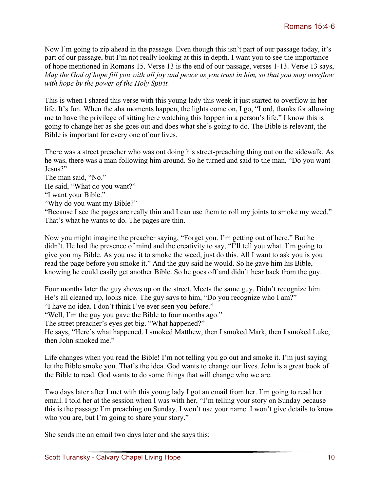Now I'm going to zip ahead in the passage. Even though this isn't part of our passage today, it's part of our passage, but I'm not really looking at this in depth. I want you to see the importance of hope mentioned in Romans 15. Verse 13 is the end of our passage, verses 1-13. Verse 13 says, *May the God of hope fill you with all joy and peace as you trust in him, so that you may overflow with hope by the power of the Holy Spirit.* 

This is when I shared this verse with this young lady this week it just started to overflow in her life. It's fun. When the aha moments happen, the lights come on, I go, "Lord, thanks for allowing me to have the privilege of sitting here watching this happen in a person's life." I know this is going to change her as she goes out and does what she's going to do. The Bible is relevant, the Bible is important for every one of our lives.

There was a street preacher who was out doing his street-preaching thing out on the sidewalk. As he was, there was a man following him around. So he turned and said to the man, "Do you want Jesus?"

The man said, "No."

He said, "What do you want?"

- "I want your Bible."
- "Why do you want my Bible?"

"Because I see the pages are really thin and I can use them to roll my joints to smoke my weed." That's what he wants to do. The pages are thin.

Now you might imagine the preacher saying, "Forget you. I'm getting out of here." But he didn't. He had the presence of mind and the creativity to say, "I'll tell you what. I'm going to give you my Bible. As you use it to smoke the weed, just do this. All I want to ask you is you read the page before you smoke it." And the guy said he would. So he gave him his Bible, knowing he could easily get another Bible. So he goes off and didn't hear back from the guy.

Four months later the guy shows up on the street. Meets the same guy. Didn't recognize him. He's all cleaned up, looks nice. The guy says to him, "Do you recognize who I am?"

"I have no idea. I don't think I've ever seen you before."

"Well, I'm the guy you gave the Bible to four months ago."

The street preacher's eyes get big. "What happened?"

He says, "Here's what happened. I smoked Matthew, then I smoked Mark, then I smoked Luke, then John smoked me."

Life changes when you read the Bible! I'm not telling you go out and smoke it. I'm just saying let the Bible smoke you. That's the idea. God wants to change our lives. John is a great book of the Bible to read. God wants to do some things that will change who we are.

Two days later after I met with this young lady I got an email from her. I'm going to read her email. I told her at the session when I was with her, "I'm telling your story on Sunday because this is the passage I'm preaching on Sunday. I won't use your name. I won't give details to know who you are, but I'm going to share your story."

She sends me an email two days later and she says this: